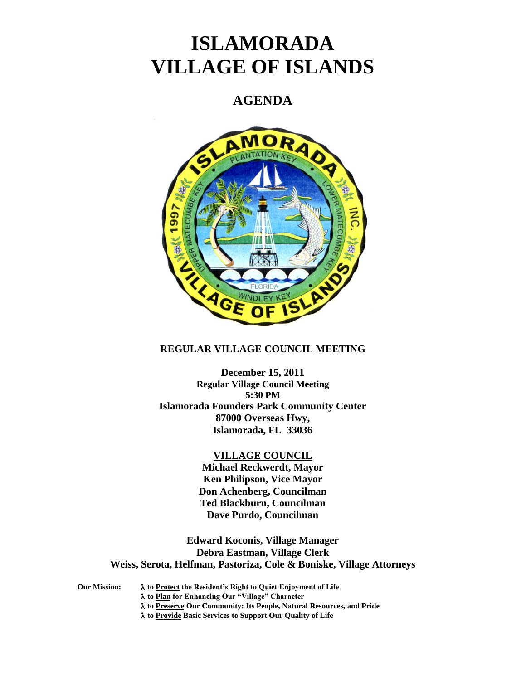# **ISLAMORADA VILLAGE OF ISLANDS**

# **AGENDA**



# **REGULAR VILLAGE COUNCIL MEETING**

**December 15, 2011 Regular Village Council Meeting 5:30 PM Islamorada Founders Park Community Center 87000 Overseas Hwy, Islamorada, FL 33036**

### **VILLAGE COUNCIL**

**Michael Reckwerdt, Mayor Ken Philipson, Vice Mayor Don Achenberg, Councilman Ted Blackburn, Councilman Dave Purdo, Councilman**

**Edward Koconis, Village Manager Debra Eastman, Village Clerk Weiss, Serota, Helfman, Pastoriza, Cole & Boniske, Village Attorneys**

**Our Mission: to Protect the Resident's Right to Quiet Enjoyment of Life to Plan for Enhancing Our "Village" Character to Preserve Our Community: Its People, Natural Resources, and Pride to Provide Basic Services to Support Our Quality of Life**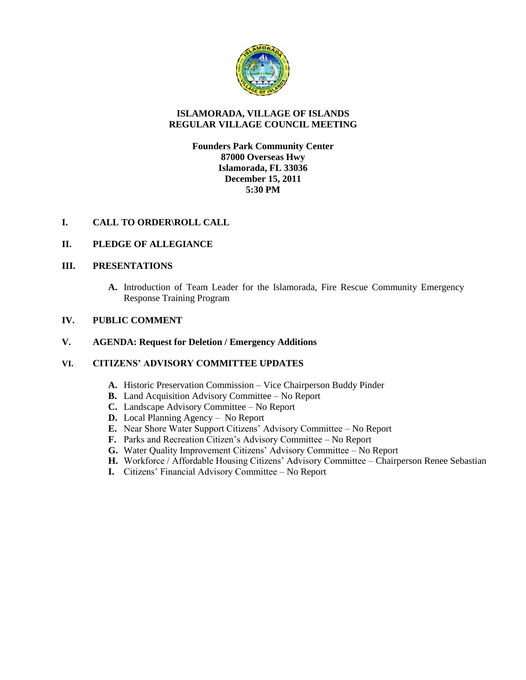

# **ISLAMORADA, VILLAGE OF ISLANDS REGULAR VILLAGE COUNCIL MEETING**

# **Founders Park Community Center 87000 Overseas Hwy Islamorada, FL 33036 December 15, 2011 5:30 PM**

# **I. CALL TO ORDER\ROLL CALL**

# **II. PLEDGE OF ALLEGIANCE**

# **III. PRESENTATIONS**

**A.** Introduction of Team Leader for the Islamorada, Fire Rescue Community Emergency Response Training Program

# **IV. PUBLIC COMMENT**

# **V. AGENDA: Request for Deletion / Emergency Additions**

# **VI. CITIZENS' ADVISORY COMMITTEE UPDATES**

- **A.** Historic Preservation Commission Vice Chairperson Buddy Pinder
- **B.** Land Acquisition Advisory Committee No Report
- **C.** Landscape Advisory Committee No Report
- **D.** Local Planning Agency No Report
- **E.** Near Shore Water Support Citizens' Advisory Committee No Report
- **F.** Parks and Recreation Citizen's Advisory Committee No Report
- **G.** Water Quality Improvement Citizens' Advisory Committee No Report
- **H.** Workforce / Affordable Housing Citizens' Advisory Committee Chairperson Renee Sebastian
- **I.** Citizens' Financial Advisory Committee No Report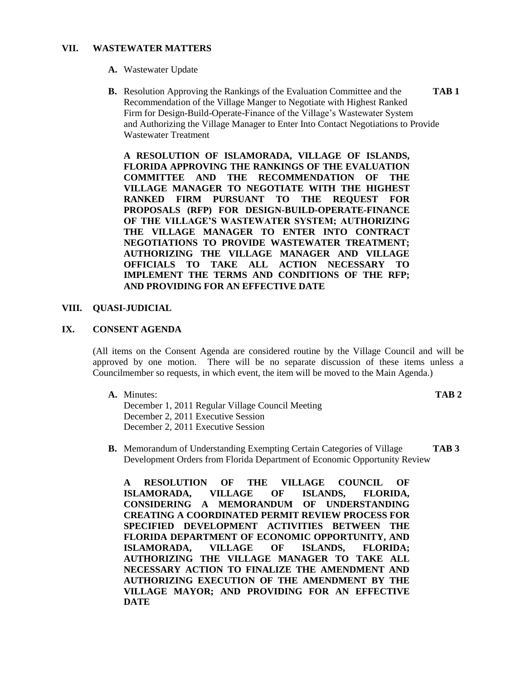#### **VII. WASTEWATER MATTERS**

- **A.** Wastewater Update
- **B.** Resolution Approving the Rankings of the Evaluation Committee and the **TAB 1** Recommendation of the Village Manger to Negotiate with Highest Ranked Firm for Design-Build-Operate-Finance of the Village's Wastewater System and Authorizing the Village Manager to Enter Into Contact Negotiations to Provide Wastewater Treatment

**A RESOLUTION OF ISLAMORADA, VILLAGE OF ISLANDS, FLORIDA APPROVING THE RANKINGS OF THE EVALUATION COMMITTEE AND THE RECOMMENDATION OF THE VILLAGE MANAGER TO NEGOTIATE WITH THE HIGHEST RANKED FIRM PURSUANT TO THE REQUEST FOR PROPOSALS (RFP) FOR DESIGN-BUILD-OPERATE-FINANCE OF THE VILLAGE'S WASTEWATER SYSTEM; AUTHORIZING THE VILLAGE MANAGER TO ENTER INTO CONTRACT NEGOTIATIONS TO PROVIDE WASTEWATER TREATMENT; AUTHORIZING THE VILLAGE MANAGER AND VILLAGE OFFICIALS TO TAKE ALL ACTION NECESSARY TO IMPLEMENT THE TERMS AND CONDITIONS OF THE RFP; AND PROVIDING FOR AN EFFECTIVE DATE**

#### **VIII. QUASI-JUDICIAL**

#### **IX. CONSENT AGENDA**

(All items on the Consent Agenda are considered routine by the Village Council and will be approved by one motion. There will be no separate discussion of these items unless a Councilmember so requests, in which event, the item will be moved to the Main Agenda.)

**A.** Minutes: **TAB 2** December 1, 2011 Regular Village Council Meeting December 2, 2011 Executive Session December 2, 2011 Executive Session

**B.** Memorandum of Understanding Exempting Certain Categories of Village **TAB 3** Development Orders from Florida Department of Economic Opportunity Review

**A RESOLUTION OF THE VILLAGE COUNCIL OF ISLAMORADA, VILLAGE OF ISLANDS, FLORIDA, CONSIDERING A MEMORANDUM OF UNDERSTANDING CREATING A COORDINATED PERMIT REVIEW PROCESS FOR SPECIFIED DEVELOPMENT ACTIVITIES BETWEEN THE FLORIDA DEPARTMENT OF ECONOMIC OPPORTUNITY, AND ISLAMORADA, VILLAGE OF ISLANDS, FLORIDA; AUTHORIZING THE VILLAGE MANAGER TO TAKE ALL NECESSARY ACTION TO FINALIZE THE AMENDMENT AND AUTHORIZING EXECUTION OF THE AMENDMENT BY THE VILLAGE MAYOR; AND PROVIDING FOR AN EFFECTIVE DATE**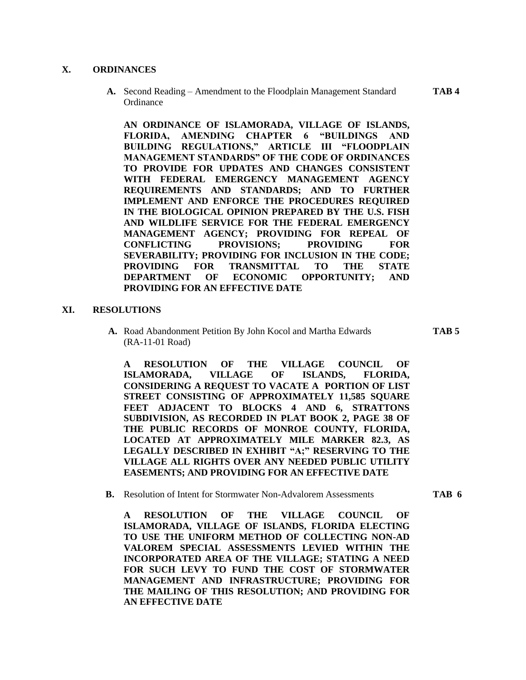#### **X. ORDINANCES**

**A.** Second Reading – Amendment to the Floodplain Management Standard **TAB 4 Ordinance** 

**AN ORDINANCE OF ISLAMORADA, VILLAGE OF ISLANDS, FLORIDA, AMENDING CHAPTER 6 "BUILDINGS AND BUILDING REGULATIONS," ARTICLE III "FLOODPLAIN MANAGEMENT STANDARDS" OF THE CODE OF ORDINANCES TO PROVIDE FOR UPDATES AND CHANGES CONSISTENT WITH FEDERAL EMERGENCY MANAGEMENT AGENCY REQUIREMENTS AND STANDARDS; AND TO FURTHER IMPLEMENT AND ENFORCE THE PROCEDURES REQUIRED IN THE BIOLOGICAL OPINION PREPARED BY THE U.S. FISH AND WILDLIFE SERVICE FOR THE FEDERAL EMERGENCY MANAGEMENT AGENCY; PROVIDING FOR REPEAL OF CONFLICTING PROVISIONS; PROVIDING FOR SEVERABILITY; PROVIDING FOR INCLUSION IN THE CODE; PROVIDING FOR TRANSMITTAL TO THE STATE DEPARTMENT OF ECONOMIC OPPORTUNITY; AND PROVIDING FOR AN EFFECTIVE DATE**

#### **XI. RESOLUTIONS**

**A.** Road Abandonment Petition By John Kocol and Martha Edwards **TAB 5** (RA-11-01 Road)

**A RESOLUTION OF THE VILLAGE COUNCIL OF ISLAMORADA, VILLAGE OF ISLANDS, FLORIDA, CONSIDERING A REQUEST TO VACATE A PORTION OF LIST STREET CONSISTING OF APPROXIMATELY 11,585 SQUARE FEET ADJACENT TO BLOCKS 4 AND 6, STRATTONS SUBDIVISION, AS RECORDED IN PLAT BOOK 2, PAGE 38 OF THE PUBLIC RECORDS OF MONROE COUNTY, FLORIDA, LOCATED AT APPROXIMATELY MILE MARKER 82.3, AS LEGALLY DESCRIBED IN EXHIBIT "A;" RESERVING TO THE VILLAGE ALL RIGHTS OVER ANY NEEDED PUBLIC UTILITY EASEMENTS; AND PROVIDING FOR AN EFFECTIVE DATE**

**B.** Resolution of Intent for Stormwater Non-Advalorem Assessments **TAB 6**

**A RESOLUTION OF THE VILLAGE COUNCIL OF ISLAMORADA, VILLAGE OF ISLANDS, FLORIDA ELECTING TO USE THE UNIFORM METHOD OF COLLECTING NON-AD VALOREM SPECIAL ASSESSMENTS LEVIED WITHIN THE INCORPORATED AREA OF THE VILLAGE; STATING A NEED FOR SUCH LEVY TO FUND THE COST OF STORMWATER MANAGEMENT AND INFRASTRUCTURE; PROVIDING FOR THE MAILING OF THIS RESOLUTION; AND PROVIDING FOR AN EFFECTIVE DATE**